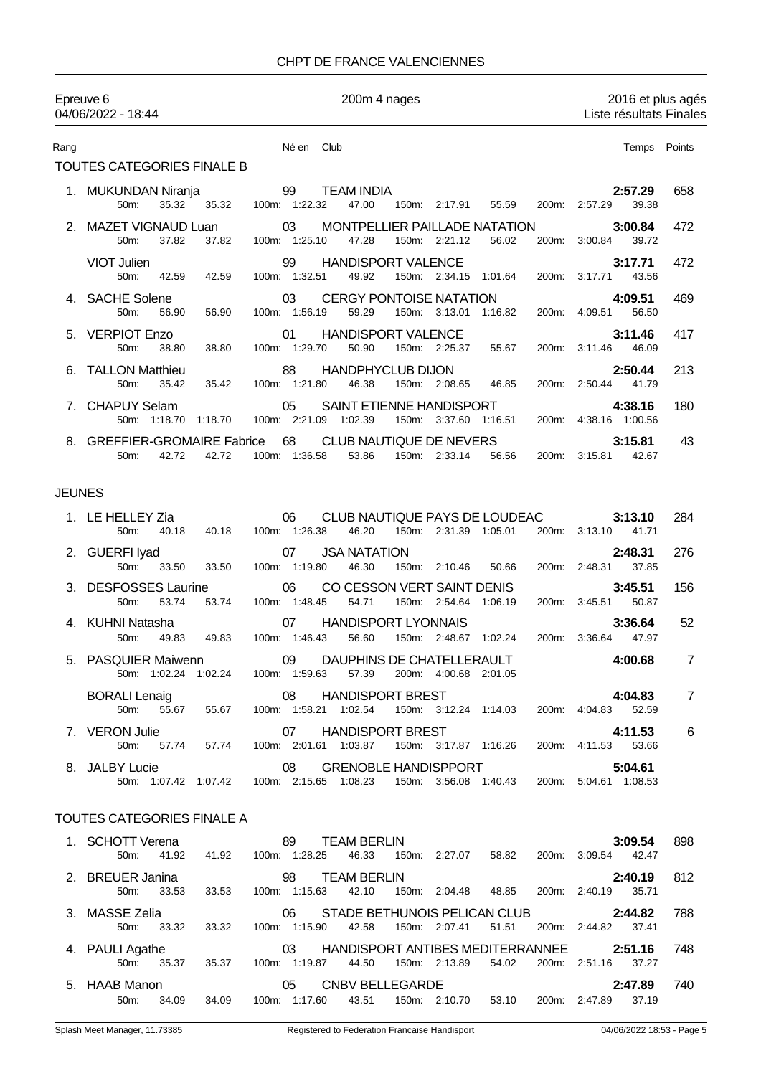## CHPT DE FRANCE VALENCIENNES

|               | Epreuve 6<br>04/06/2022 - 18:44                            | 200m 4 nages                                                                                                                       | 2016 et plus agés<br>Liste résultats Finales |                |  |
|---------------|------------------------------------------------------------|------------------------------------------------------------------------------------------------------------------------------------|----------------------------------------------|----------------|--|
| Rang          |                                                            | Né en Club                                                                                                                         | Temps Points                                 |                |  |
|               | TOUTES CATEGORIES FINALE B                                 |                                                                                                                                    |                                              |                |  |
|               | 1. MUKUNDAN Niranja<br>50m:<br>35.32<br>35.32              | 99<br><b>TEAM INDIA</b><br>100m: 1:22.32<br>47.00<br>150m: 2:17.91<br>55.59<br>200m:                                               | 2:57.29<br>2:57.29<br>39.38                  | 658            |  |
|               | <b>MAZET VIGNAUD Luan</b><br>37.82<br>37.82<br>50m:        | 03<br><b>MONTPELLIER PAILLADE NATATION</b><br>100m: 1:25.10<br>47.28<br>150m: 2:21.12<br>56.02                                     | 3:00.84<br>200m: 3:00.84<br>39.72            | 472            |  |
|               | VIOT Julien<br>50m:<br>42.59<br>42.59                      | 99<br><b>HANDISPORT VALENCE</b><br>100m: 1:32.51<br>49.92<br>150m: 2:34.15 1:01.64<br>200m:                                        | 3:17.71<br>43.56<br>3:17.71                  | 472            |  |
|               | 4. SACHE Solene<br>50m:<br>56.90<br>56.90                  | <b>CERGY PONTOISE NATATION</b><br>03<br>100m: 1:56.19<br>59.29<br>150m: 3:13.01<br>1:16.82                                         | 4:09.51<br>200m: 4:09.51<br>56.50            | 469            |  |
|               | 5. VERPIOT Enzo<br>50m:<br>38.80<br>38.80                  | <b>HANDISPORT VALENCE</b><br>01<br>100m: 1:29.70<br>50.90<br>150m: 2:25.37<br>55.67                                                | 3:11.46<br>200m: 3:11.46<br>46.09            | 417            |  |
|               | 6. TALLON Matthieu<br>50m:<br>35.42<br>35.42               | 88<br><b>HANDPHYCLUB DIJON</b><br>100m: 1:21.80<br>46.38<br>150m: 2:08.65<br>46.85<br>200m:                                        | 2:50.44<br>2:50.44<br>41.79                  | 213            |  |
|               | 7. CHAPUY Selam<br>50m: 1:18.70<br>1:18.70                 | 05<br><b>SAINT ETIENNE HANDISPORT</b><br>100m: 2:21.09<br>1:02.39<br>150m: 3:37.60 1:16.51                                         | 4:38.16<br>200m: 4:38.16 1:00.56             | 180            |  |
|               | <b>GREFFIER-GROMAIRE Fabrice</b><br>42.72<br>42.72<br>50m: | 68<br>CLUB NAUTIQUE DE NEVERS<br>100m: 1:36.58<br>53.86<br>150m: 2:33.14<br>56.56                                                  | 3:15.81<br>200m: 3:15.81<br>42.67            | 43             |  |
| <b>JEUNES</b> |                                                            |                                                                                                                                    |                                              |                |  |
|               | 1. LE HELLEY Zia<br>50 <sub>m</sub> :<br>40.18<br>40.18    | CLUB NAUTIQUE PAYS DE LOUDEAC<br>06<br>100m: 1:26.38<br>46.20<br>150m: 2:31.39 1:05.01                                             | 3:13.10<br>200m: 3:13.10<br>41.71            | 284            |  |
|               | 2. GUERFI Iyad<br>50m:<br>33.50<br>33.50                   | <b>JSA NATATION</b><br>07<br>100m: 1:19.80<br>46.30<br>150m: 2:10.46<br>50.66<br>200m:                                             | 2:48.31<br>37.85<br>2:48.31                  | 276            |  |
|               | 3. DESFOSSES Laurine<br>53.74<br>50m:<br>53.74             | 06<br>CO CESSON VERT SAINT DENIS<br>100m: 1:48.45<br>150m: 2:54.64<br>54.71<br>1:06.19<br>200m:                                    | 3:45.51<br>3:45.51<br>50.87                  | 156            |  |
|               | 4. KUHNI Natasha<br>50m:<br>49.83<br>49.83                 | <b>HANDISPORT LYONNAIS</b><br>07<br>100m: 1:46.43<br>56.60<br>150m: 2:48.67 1:02.24                                                | 3:36.64<br>200m: 3:36.64<br>47.97            | 52             |  |
|               | <b>PASQUIER Maiwenn</b>                                    | DAUPHINS DE CHATELLERAULT<br>09<br>50m: 1:02.24 1:02.24 100m: 1:59.63 57.39 200m: 4:00.68 2:01.05                                  | 4:00.68                                      | 7              |  |
|               |                                                            | BORALI Lenaig <b>120 COMPTEREST</b><br>50m: 55.67 55.67 55.67 100m: 1:58.21 1:02.54 150m: 3:12.24 1:14.03 200m: 4:0                | 4:04.83<br>200m: 4:04.83 52.59               | $\overline{7}$ |  |
|               | 7. VERON Julie                                             | 07 HANDISPORT BREST<br>50m: 57.74 57.74 100m: 2:01.61 1:03.87 150m: 3:17.87 1:16.26                                                | 4:11.53<br>200m: 4:11.53 53.66               | 6              |  |
|               | 8. JALBY Lucie                                             | $\sim$ 08<br><b>GRENOBLE HANDISPPORT</b><br>50m: 1:07.42 1:07.42 100m: 2:15.65 1:08.23 150m: 3:56.08 1:40.43 200m: 5:04.61 1:08.53 | 5:04.61                                      |                |  |
|               | TOUTES CATEGORIES FINALE A                                 |                                                                                                                                    |                                              |                |  |
|               | 1. SCHOTT Verena                                           | 89 TEAM BERLIN<br>50m: 41.92 41.92 100m: 1:28.25 46.33 150m: 2:27.07 58.82 200m: 3:09.54 42.47                                     | 3:09.54                                      | 898            |  |
|               | 2. BREUER Janina<br>50m: 33.53                             | 98 TEAM BERLIN<br>98 IEAM BERLIN<br>33.53 100m: 1:15.63 42.10 150m: 2:04.48 48.85                                                  | 2:40.19<br>200m: 2:40.19 35.71               | 812            |  |
|               | 3. MASSE Zelia<br>50m: 33.32<br>33.32                      | 06 STADE BETHUNOIS PELICAN CLUB 2:44.82<br>100m: 1:15.90  42.58  150m: 2:07.41  51.51                                              | 200m: 2:44.82 37.41                          | 788            |  |
|               | 4. PAULI Agathe<br>35.37<br>50m:<br>35.37                  | HANDISPORT ANTIBES MEDITERRANNEE 2:51.16<br>03<br>100m: 1:19.87 44.50<br>150m: 2:13.89<br>54.02                                    | 200m: 2:51.16<br>37.27                       | 748            |  |
|               | 5. HAAB Manon                                              | 05 CNBV BELLEGARDE                                                                                                                 | 2:47.89                                      | 740            |  |
|               |                                                            | 50m: 34.09 34.09 100m: 1:17.60 43.51 150m: 2:10.70 53.10 200m: 2:47.89 37.19                                                       |                                              |                |  |